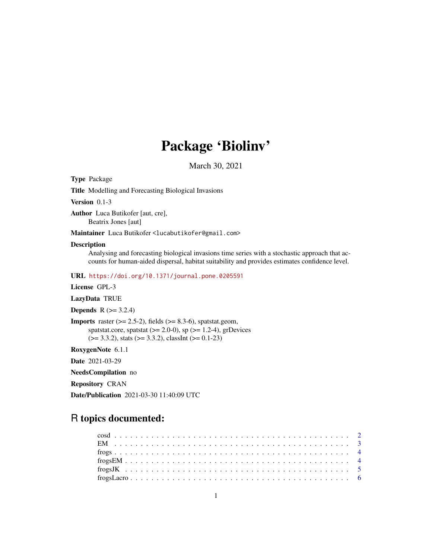## Package 'Biolinv'

March 30, 2021

Type Package

Title Modelling and Forecasting Biological Invasions

Version 0.1-3

Author Luca Butikofer [aut, cre], Beatrix Jones [aut]

Maintainer Luca Butikofer <lucabutikofer@gmail.com>

## Description

Analysing and forecasting biological invasions time series with a stochastic approach that accounts for human-aided dispersal, habitat suitability and provides estimates confidence level.

URL <https://doi.org/10.1371/journal.pone.0205591>

License GPL-3

LazyData TRUE

**Depends**  $R$  ( $>= 3.2.4$ )

**Imports** raster  $(>= 2.5-2)$ , fields  $(>= 8.3-6)$ , spatstat.geom, spatstat.core, spatstat  $(>= 2.0-0)$ , sp  $(>= 1.2-4)$ , grDevices  $(>= 3.3.2)$ , stats  $(>= 3.3.2)$ , classInt  $(>= 0.1-23)$ 

RoxygenNote 6.1.1

Date 2021-03-29

NeedsCompilation no

Repository CRAN

Date/Publication 2021-03-30 11:40:09 UTC

## R topics documented: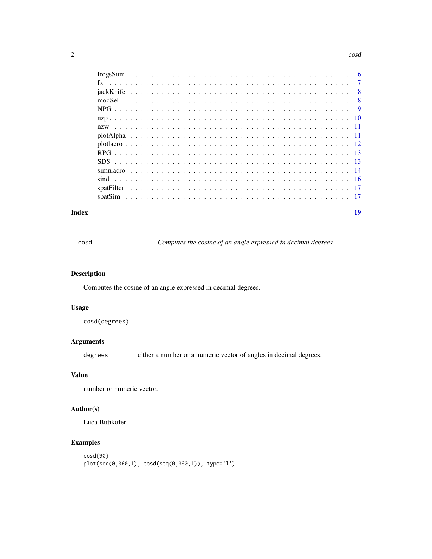#### <span id="page-1-0"></span> $2 \cos \theta$

|     | $\overline{7}$ |
|-----|----------------|
| - 8 |                |
| - 8 |                |
| - 9 |                |
|     |                |
|     |                |
|     |                |
|     |                |
|     |                |
|     |                |
|     |                |
|     |                |
|     |                |
|     |                |
|     |                |

#### **Index** 2008 **Index** 2008 **Index**

cosd *Computes the cosine of an angle expressed in decimal degrees.*

## Description

Computes the cosine of an angle expressed in decimal degrees.

## Usage

cosd(degrees)

## Arguments

degrees either a number or a numeric vector of angles in decimal degrees.

## Value

number or numeric vector.

## Author(s)

Luca Butikofer

```
cosd(90)
plot(seq(0,360,1), cosd(seq(0,360,1)), type='l')
```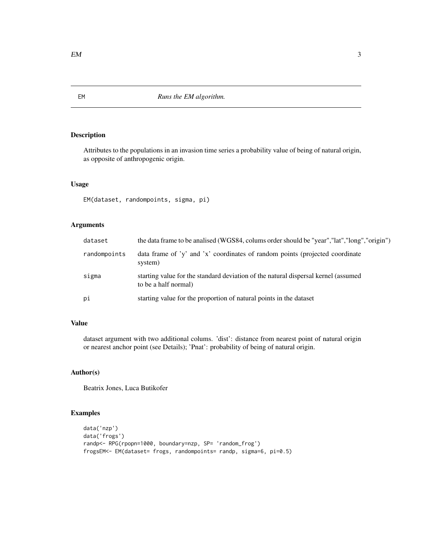Attributes to the populations in an invasion time series a probability value of being of natural origin, as opposite of anthropogenic origin.

## Usage

EM(dataset, randompoints, sigma, pi)

## Arguments

| dataset      | the data frame to be analised (WGS84, colums order should be "year", "lat", "long", "origin")              |
|--------------|------------------------------------------------------------------------------------------------------------|
| randompoints | data frame of 'y' and 'x' coordinates of random points (projected coordinate<br>system)                    |
| sigma        | starting value for the standard deviation of the natural dispersal kernel (assumed<br>to be a half normal) |
| pi           | starting value for the proportion of natural points in the dataset                                         |

## Value

dataset argument with two additional colums. 'dist': distance from nearest point of natural origin or nearest anchor point (see Details); 'Pnat': probability of being of natural origin.

## Author(s)

Beatrix Jones, Luca Butikofer

```
data('nzp')
data('frogs')
randp<- RPG(rpopn=1000, boundary=nzp, SP= 'random_frog')
frogsEM<- EM(dataset= frogs, randompoints= randp, sigma=6, pi=0.5)
```
<span id="page-2-0"></span>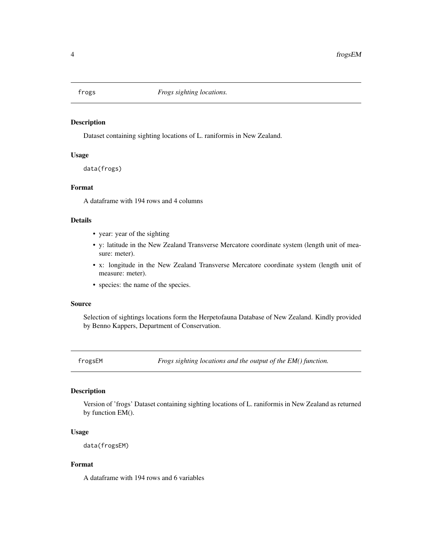<span id="page-3-0"></span>

Dataset containing sighting locations of L. raniformis in New Zealand.

## Usage

data(frogs)

#### Format

A dataframe with 194 rows and 4 columns

#### Details

- year: year of the sighting
- y: latitude in the New Zealand Transverse Mercatore coordinate system (length unit of measure: meter).
- x: longitude in the New Zealand Transverse Mercatore coordinate system (length unit of measure: meter).
- species: the name of the species.

## Source

Selection of sightings locations form the Herpetofauna Database of New Zealand. Kindly provided by Benno Kappers, Department of Conservation.

frogsEM *Frogs sighting locations and the output of the EM() function.*

#### Description

Version of 'frogs' Dataset containing sighting locations of L. raniformis in New Zealand as returned by function EM().

## Usage

```
data(frogsEM)
```
## Format

A dataframe with 194 rows and 6 variables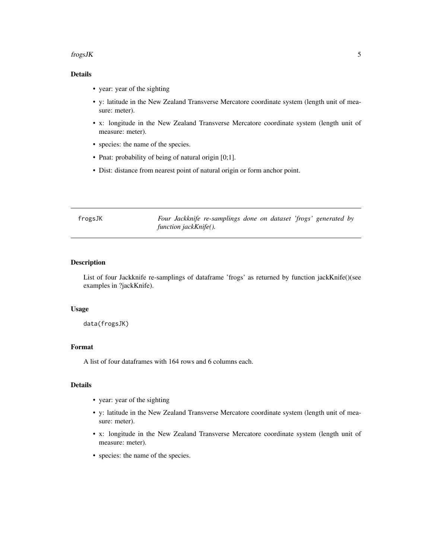#### <span id="page-4-0"></span> $fros$ JK  $\sim$  5

## Details

- year: year of the sighting
- y: latitude in the New Zealand Transverse Mercatore coordinate system (length unit of measure: meter).
- x: longitude in the New Zealand Transverse Mercatore coordinate system (length unit of measure: meter).
- species: the name of the species.
- Pnat: probability of being of natural origin [0;1].
- Dist: distance from nearest point of natural origin or form anchor point.

frogsJK *Four Jackknife re-samplings done on dataset 'frogs' generated by function jackKnife().*

#### Description

List of four Jackknife re-samplings of dataframe 'frogs' as returned by function jackKnife()(see examples in ?jackKnife).

## Usage

data(frogsJK)

## Format

A list of four dataframes with 164 rows and 6 columns each.

## Details

- year: year of the sighting
- y: latitude in the New Zealand Transverse Mercatore coordinate system (length unit of measure: meter).
- x: longitude in the New Zealand Transverse Mercatore coordinate system (length unit of measure: meter).
- species: the name of the species.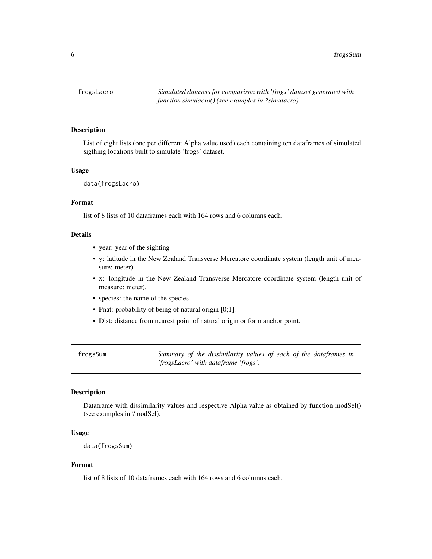<span id="page-5-0"></span>6 frogsSum

#### **Description**

List of eight lists (one per different Alpha value used) each containing ten dataframes of simulated sigthing locations built to simulate 'frogs' dataset.

## Usage

```
data(frogsLacro)
```
## Format

list of 8 lists of 10 dataframes each with 164 rows and 6 columns each.

#### Details

- year: year of the sighting
- y: latitude in the New Zealand Transverse Mercatore coordinate system (length unit of measure: meter).
- x: longitude in the New Zealand Transverse Mercatore coordinate system (length unit of measure: meter).
- species: the name of the species.
- Pnat: probability of being of natural origin [0;1].
- Dist: distance from nearest point of natural origin or form anchor point.

frogsSum *Summary of the dissimilarity values of each of the dataframes in 'frogsLacro' with dataframe 'frogs'.*

## Description

Dataframe with dissimilarity values and respective Alpha value as obtained by function modSel() (see examples in ?modSel).

## Usage

```
data(frogsSum)
```
## Format

list of 8 lists of 10 dataframes each with 164 rows and 6 columns each.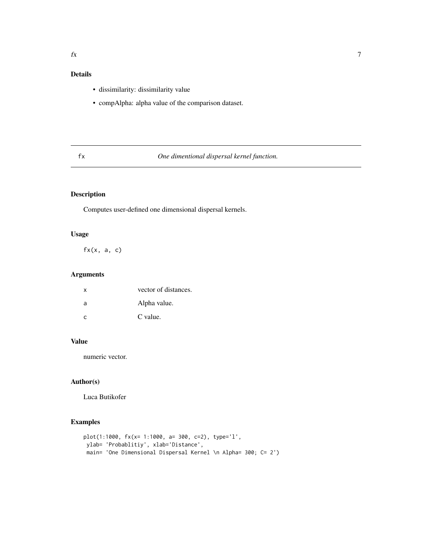## <span id="page-6-0"></span>Details

- dissimilarity: dissimilarity value
- compAlpha: alpha value of the comparison dataset.

## fx *One dimentional dispersal kernel function.*

## Description

Computes user-defined one dimensional dispersal kernels.

## Usage

 $fx(x, a, c)$ 

## Arguments

| $\mathsf{x}$ | vector of distances. |
|--------------|----------------------|
| a            | Alpha value.         |
| $\mathsf{C}$ | C value.             |

## Value

numeric vector.

## Author(s)

Luca Butikofer

```
plot(1:1000, fx(x= 1:1000, a= 300, c=2), type='l',
ylab= 'Probablitiy', xlab='Distance',
 main= 'One Dimensional Dispersal Kernel \n Alpha= 300; C= 2')
```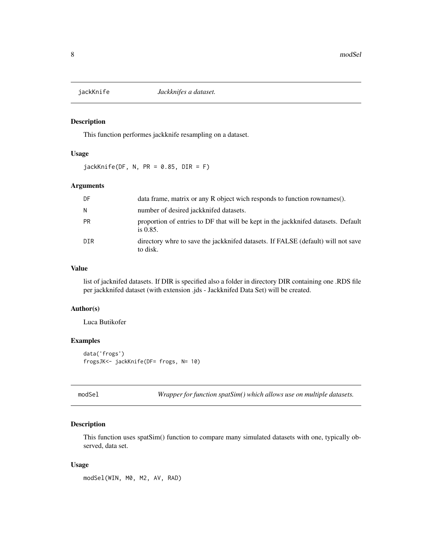<span id="page-7-0"></span>

This function performes jackknife resampling on a dataset.

## Usage

 $jackKniffe(DF, N, PR = 0.85, DIR = F)$ 

## Arguments

| DF.       | data frame, matrix or any R object wich responds to function rownames().                         |
|-----------|--------------------------------------------------------------------------------------------------|
| N.        | number of desired jackknifed datasets.                                                           |
| <b>PR</b> | proportion of entries to DF that will be kept in the jackknifed datasets. Default<br>is $0.85$ . |
| DIR       | directory whre to save the jackknifed datasets. If FALSE (default) will not save<br>to disk.     |

## Value

list of jacknifed datasets. If DIR is specified also a folder in directory DIR containing one .RDS file per jackknifed dataset (with extension .jds - Jackknifed Data Set) will be created.

#### Author(s)

Luca Butikofer

## Examples

```
data('frogs')
frogsJK<- jackKnife(DF= frogs, N= 10)
```
modSel *Wrapper for function spatSim() which allows use on multiple datasets.*

## Description

This function uses spatSim() function to compare many simulated datasets with one, typically observed, data set.

#### Usage

modSel(WIN, M0, M2, AV, RAD)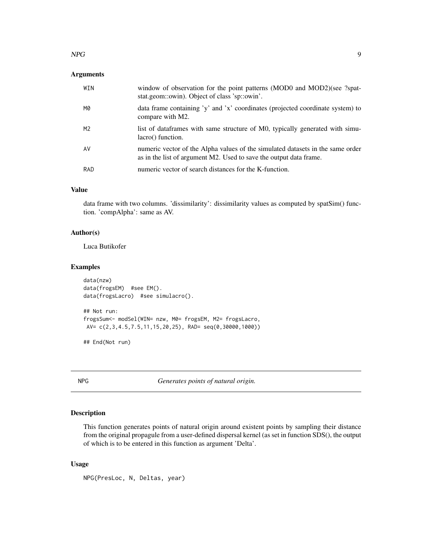#### <span id="page-8-0"></span> $NPG$  9

## Arguments

| WIN | window of observation for the point patterns (MOD0 and MOD2)(see ?spat-<br>stat.geom::owin). Object of class 'sp::owin'.                             |
|-----|------------------------------------------------------------------------------------------------------------------------------------------------------|
| M0  | data frame containing 'y' and 'x' coordinates (projected coordinate system) to<br>compare with M2.                                                   |
| M2  | list of dataframes with same structure of M0, typically generated with simu-<br>lacro() function.                                                    |
| AV  | numeric vector of the Alpha values of the simulated datasets in the same order<br>as in the list of argument M2. Used to save the output data frame. |
| RAD | numeric vector of search distances for the K-function.                                                                                               |

## Value

data frame with two columns. 'dissimilarity': dissimilarity values as computed by spatSim() function. 'compAlpha': same as AV.

## Author(s)

Luca Butikofer

## Examples

```
data(nzw)
data(frogsEM) #see EM().
data(frogsLacro) #see simulacro().
## Not run:
frogsSum<- modSel(WIN= nzw, M0= frogsEM, M2= frogsLacro,
AV= c(2,3,4.5,7.5,11,15,20,25), RAD= seq(0,30000,1000))
```
## End(Not run)

NPG *Generates points of natural origin.*

## Description

This function generates points of natural origin around existent points by sampling their distance from the original propagule from a user-defined dispersal kernel (as set in function SDS(), the output of which is to be entered in this function as argument 'Delta'.

## Usage

NPG(PresLoc, N, Deltas, year)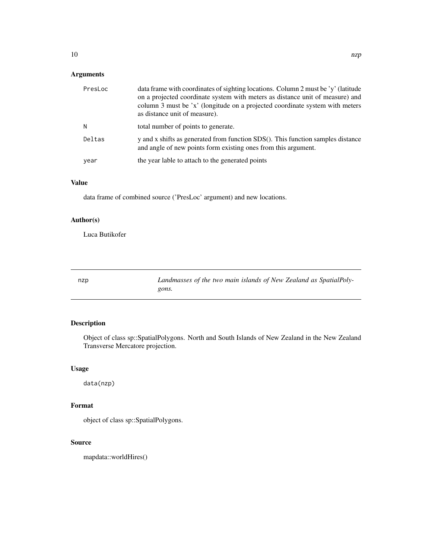## <span id="page-9-0"></span>Arguments

| PresLoc | data frame with coordinates of sighting locations. Column 2 must be 'y' (latitude<br>on a projected coordinate system with meters as distance unit of measure) and<br>column 3 must be 'x' (longitude on a projected coordinate system with meters<br>as distance unit of measure). |
|---------|-------------------------------------------------------------------------------------------------------------------------------------------------------------------------------------------------------------------------------------------------------------------------------------|
| N       | total number of points to generate.                                                                                                                                                                                                                                                 |
| Deltas  | y and x shifts as generated from function SDS(). This function samples distance<br>and angle of new points form existing ones from this argument.                                                                                                                                   |
| year    | the year lable to attach to the generated points                                                                                                                                                                                                                                    |

## Value

data frame of combined source ('PresLoc' argument) and new locations.

## Author(s)

Luca Butikofer

nzp *Landmasses of the two main islands of New Zealand as SpatialPolygons.*

## Description

Object of class sp::SpatialPolygons. North and South Islands of New Zealand in the New Zealand Transverse Mercatore projection.

## Usage

data(nzp)

## Format

object of class sp::SpatialPolygons.

## Source

mapdata::worldHires()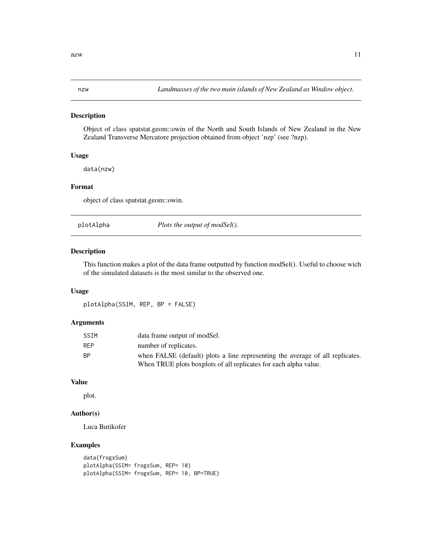<span id="page-10-0"></span>

Object of class spatstat.geom::owin of the North and South Islands of New Zealand in the New Zealand Transverse Mercatore projection obtained from object 'nzp' (see ?nzp).

## Usage

data(nzw)

## Format

object of class spatstat.geom::owin.

plotAlpha *Plots the output of modSel().*

#### Description

This function makes a plot of the data frame outputted by function modSel(). Useful to choose wich of the simulated datasets is the most similar to the observed one.

## Usage

plotAlpha(SSIM, REP, BP = FALSE)

## Arguments

| <b>SSIM</b> | data frame output of modSel.                                                  |
|-------------|-------------------------------------------------------------------------------|
| <b>REP</b>  | number of replicates.                                                         |
| <b>BP</b>   | when FALSE (default) plots a line representing the average of all replicates. |
|             | When TRUE plots boxplots of all replicates for each alpha value.              |

## Value

plot.

## Author(s)

Luca Butikofer

```
data(frogsSum)
plotAlpha(SSIM= frogsSum, REP= 10)
plotAlpha(SSIM= frogsSum, REP= 10, BP=TRUE)
```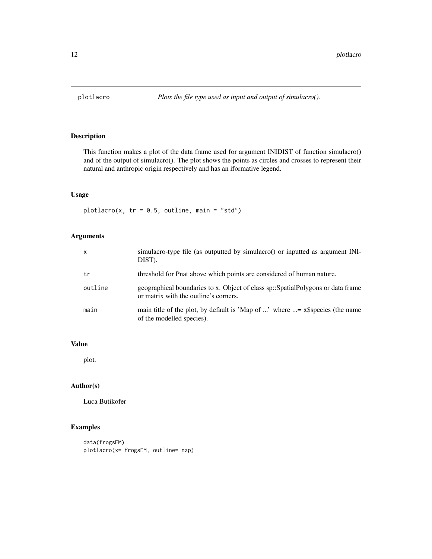<span id="page-11-0"></span>

This function makes a plot of the data frame used for argument INIDIST of function simulacro() and of the output of simulacro(). The plot shows the points as circles and crosses to represent their natural and anthropic origin respectively and has an iformative legend.

## Usage

plotlacro(x,  $tr = 0.5$ , outline, main = "std")

## Arguments

| $\times$ | simulacro-type file (as outputted by simulacro() or inputted as argument INI-<br>DIST).                                  |
|----------|--------------------------------------------------------------------------------------------------------------------------|
| tr       | threshold for Pnat above which points are considered of human nature.                                                    |
| outline  | geographical boundaries to x. Object of class sp::SpatialPolygons or data frame<br>or matrix with the outline's corners. |
| main     | main title of the plot, by default is 'Map of ' where $\ldots = x$ \$species (the name<br>of the modelled species).      |

#### Value

plot.

## Author(s)

Luca Butikofer

```
data(frogsEM)
plotlacro(x= frogsEM, outline= nzp)
```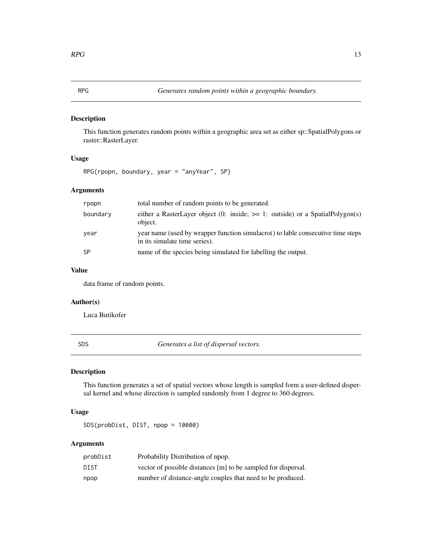<span id="page-12-0"></span>This function generates random points within a geographic area set as either sp::SpatialPolygons or raster::RasterLayer.

## Usage

```
RPG(rpopn, boundary, year = "anyYear", SP)
```
## Arguments

| rpopn    | total number of random points to be generated.                                                                   |
|----------|------------------------------------------------------------------------------------------------------------------|
| boundary | either a RasterLayer object (0: inside; $\ge$ = 1: outside) or a SpatialPolygon(s)<br>object.                    |
| year     | year name (used by wrapper function simulacro() to lable consecutive time steps<br>in its simulate time series). |
| -SP      | name of the species being simulated for labelling the output.                                                    |

## Value

data frame of random points.

## Author(s)

Luca Butikofer

SDS *Generates a list of dispersal vectors.*

## Description

This function generates a set of spatial vectors whose length is sampled form a user-defined dispersal kernel and whose direction is sampled randomly from 1 degree to 360 degrees.

## Usage

SDS(probDist, DIST, npop = 10000)

## Arguments

| probDist | Probability Distribution of npop.                             |
|----------|---------------------------------------------------------------|
| DIST     | vector of possible distances [m] to be sampled for dispersal. |
| npop     | number of distance-angle couples that need to be produced.    |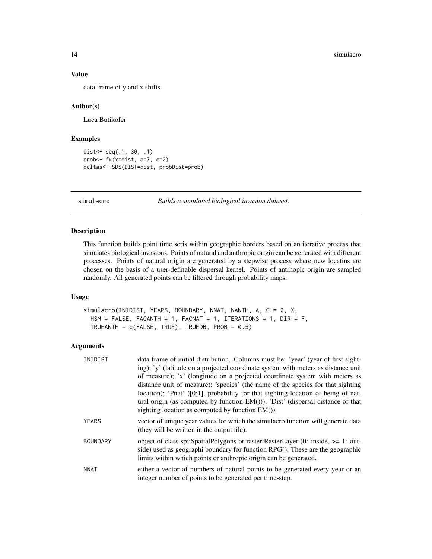## Value

data frame of y and x shifts.

#### Author(s)

Luca Butikofer

## Examples

```
dist<- seq(.1, 30, .1)
prob<- fx(x=dist, a=7, c=2)
deltas<- SDS(DIST=dist, probDist=prob)
```
simulacro *Builds a simulated biological invasion dataset.*

#### Description

This function builds point time seris within geographic borders based on an iterative process that simulates biological invasions. Points of natural and anthropic origin can be generated with different processes. Points of natural origin are generated by a stepwise process where new locatins are chosen on the basis of a user-definable dispersal kernel. Points of antrhopic origin are sampled randomly. All generated points can be filtered through probability maps.

#### Usage

```
simulacro(INIDIST, YEARS, BOUNDARY, NNAT, NANTH, A, C = 2, X,
 HSM = FALSE, FACANTH = 1, FACNAT = 1, ITERATIONS = 1, DIR = F,
 TRUEANTH = c(FALSE, TRUE), TRUEDB, PROB = 0.5)
```
## Arguments

| INIDIST         | data frame of initial distribution. Columns must be: 'year' (year of first sight-<br>ing); 'y' (latitude on a projected coordinate system with meters as distance unit<br>of measure); 'x' (longitude on a projected coordinate system with meters as<br>distance unit of measure); 'species' (the name of the species for that sighting<br>location); 'Pnat' $([0;1]$ , probability for that sighting location of being of nat-<br>ural origin (as computed by function $EM($ ))), 'Dist' (dispersal distance of that<br>sighting location as computed by function EM()). |
|-----------------|----------------------------------------------------------------------------------------------------------------------------------------------------------------------------------------------------------------------------------------------------------------------------------------------------------------------------------------------------------------------------------------------------------------------------------------------------------------------------------------------------------------------------------------------------------------------------|
|                 |                                                                                                                                                                                                                                                                                                                                                                                                                                                                                                                                                                            |
| <b>YEARS</b>    | vector of unique year values for which the simulacro function will generate data<br>(they will be written in the output file).                                                                                                                                                                                                                                                                                                                                                                                                                                             |
| <b>BOUNDARY</b> | object of class sp::SpatialPolygons or raster:RasterLayer $(0: inside, >= 1: out-$<br>side) used as geographi boundary for function RPG(). These are the geographic<br>limits within which points or anthropic origin can be generated.                                                                                                                                                                                                                                                                                                                                    |
| <b>NNAT</b>     | either a vector of numbers of natural points to be generated every year or an<br>integer number of points to be generated per time-step.                                                                                                                                                                                                                                                                                                                                                                                                                                   |

<span id="page-13-0"></span>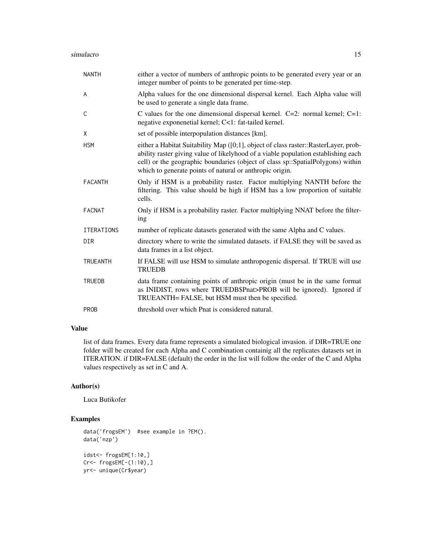| <b>NANTH</b>      | either a vector of numbers of anthropic points to be generated every year or an<br>integer number of points to be generated per time-step.                                                                                                                                                                               |
|-------------------|--------------------------------------------------------------------------------------------------------------------------------------------------------------------------------------------------------------------------------------------------------------------------------------------------------------------------|
| A                 | Alpha values for the one dimensional dispersal kernel. Each Alpha value will<br>be used to generate a single data frame.                                                                                                                                                                                                 |
| C                 | C values for the one dimensional dispersal kernel. $C=2$ : normal kernel; $C=1$ :<br>negative exponenetial kernel; C<1: fat-tailed kernel.                                                                                                                                                                               |
| X                 | set of possible interpopulation distances [km].                                                                                                                                                                                                                                                                          |
| <b>HSM</b>        | either a Habitat Suitability Map ([0;1], object of class raster::RasterLayer, prob-<br>ability raster giving value of likelyhood of a viable population establishing each<br>cell) or the geographic boundaries (object of class sp::SpatialPolygons) within<br>which to generate points of natural or anthropic origin. |
| <b>FACANTH</b>    | Only if HSM is a probability raster. Factor multiplying NANTH before the<br>filtering. This value should be high if HSM has a low proportion of suitable<br>cells.                                                                                                                                                       |
| <b>FACNAT</b>     | Only if HSM is a probability raster. Factor multiplying NNAT before the filter-<br>ing                                                                                                                                                                                                                                   |
| <b>ITERATIONS</b> | number of replicate datasets generated with the same Alpha and C values.                                                                                                                                                                                                                                                 |
| <b>DIR</b>        | directory where to write the simulated datasets. if FALSE they will be saved as<br>data frames in a list object.                                                                                                                                                                                                         |
| <b>TRUEANTH</b>   | If FALSE will use HSM to simulate anthropogenic dispersal. If TRUE will use<br><b>TRUEDB</b>                                                                                                                                                                                                                             |
| <b>TRUEDB</b>     | data frame containing points of anthropic origin (must be in the same format<br>as INIDIST, rows where TRUEDB\$Pnat>PROB will be ignored). Ignored if<br>TRUEANTH= FALSE, but HSM must then be specified.                                                                                                                |
| <b>PROB</b>       | threshold over which Pnat is considered natural.                                                                                                                                                                                                                                                                         |

## Value

list of data frames. Every data frame represents a simulated biological invasion. if DIR=TRUE one folder will be created for each Alpha and C combination containig all the replicates datasets set in ITERATION. if DIR=FALSE (default) the order in the list will follow the order of the C and Alpha values respectively as set in C and A.

## Author(s)

Luca Butikofer

```
data('frogsEM') #see example in ?EM().
data('nzp')
idst<- frogsEM[1:10,]
Cr<- frogsEM[-(1:10),]
yr<- unique(Cr$year)
```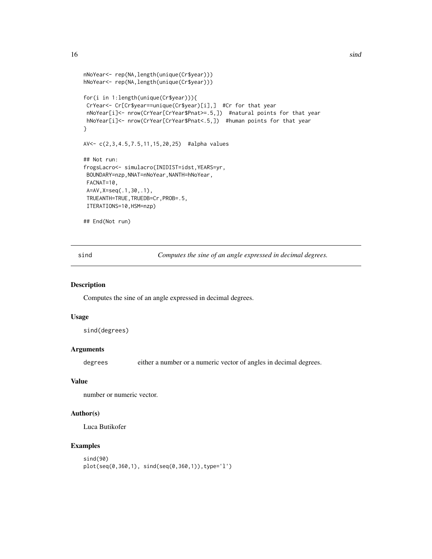```
nNoYear<- rep(NA,length(unique(Cr$year)))
hNoYear<- rep(NA,length(unique(Cr$year)))
for(i in 1:length(unique(Cr$year))){
CrYear<- Cr[Cr$year==unique(Cr$year)[i],] #Cr for that year
nNoYear[i]<- nrow(CrYear[CrYear$Pnat>=.5,]) #natural points for that year
hNoYear[i]<- nrow(CrYear[CrYear$Pnat<.5,]) #human points for that year
}
AV<- c(2,3,4.5,7.5,11,15,20,25) #alpha values
## Not run:
frogsLacro<- simulacro(INIDIST=idst,YEARS=yr,
BOUNDARY=nzp, NNAT=nNoYear, NANTH=hNoYear,
FACNAT=10,
A=AV,X=seq(.1,30,.1),
TRUEANTH=TRUE,TRUEDB=Cr,PROB=.5,
ITERATIONS=10,HSM=nzp)
## End(Not run)
```
sind *Computes the sine of an angle expressed in decimal degrees.*

#### Description

Computes the sine of an angle expressed in decimal degrees.

## Usage

sind(degrees)

## Arguments

degrees either a number or a numeric vector of angles in decimal degrees.

#### Value

number or numeric vector.

## Author(s)

Luca Butikofer

```
sind(90)
plot(seq(0,360,1), sind(seq(0,360,1)),type='l')
```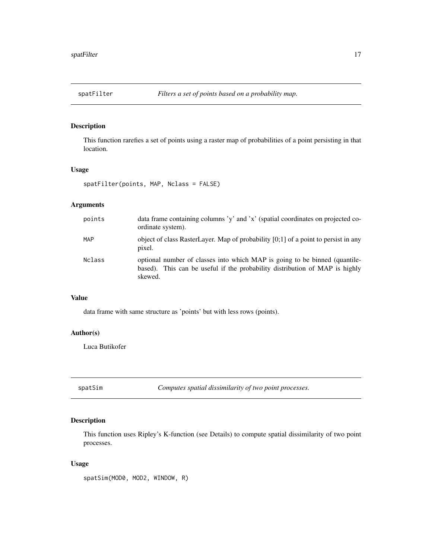<span id="page-16-0"></span>

This function rarefies a set of points using a raster map of probabilities of a point persisting in that location.

## Usage

```
spatFilter(points, MAP, Nclass = FALSE)
```
## Arguments

| points        | data frame containing columns 'y' and 'x' (spatial coordinates on projected co-<br>ordinate system).                                                                 |
|---------------|----------------------------------------------------------------------------------------------------------------------------------------------------------------------|
| MAP           | object of class RasterLayer. Map of probability $[0,1]$ of a point to persist in any<br>pixel.                                                                       |
| <b>Nclass</b> | optional number of classes into which MAP is going to be binned (quantile-<br>based). This can be useful if the probability distribution of MAP is highly<br>skewed. |

#### Value

data frame with same structure as 'points' but with less rows (points).

## Author(s)

Luca Butikofer

spatSim *Computes spatial dissimilarity of two point processes.*

## Description

This function uses Ripley's K-function (see Details) to compute spatial dissimilarity of two point processes.

#### Usage

spatSim(MOD0, MOD2, WINDOW, R)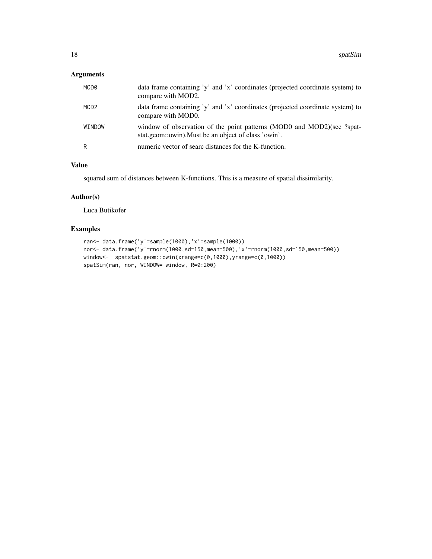## Arguments

| MOD0             | data frame containing 'y' and 'x' coordinates (projected coordinate system) to<br>compare with MOD2.                           |
|------------------|--------------------------------------------------------------------------------------------------------------------------------|
| MOD <sub>2</sub> | data frame containing 'y' and 'x' coordinates (projected coordinate system) to<br>compare with MOD0.                           |
| WINDOW           | window of observation of the point patterns (MOD0 and MOD2)(see ?spat-<br>stat.geom::owin). Must be an object of class 'owin'. |
| R                | numeric vector of searc distances for the K-function.                                                                          |

## Value

squared sum of distances between K-functions. This is a measure of spatial dissimilarity.

## Author(s)

Luca Butikofer

```
ran<- data.frame('y'=sample(1000),'x'=sample(1000))
nor<- data.frame('y'=rnorm(1000,sd=150,mean=500),'x'=rnorm(1000,sd=150,mean=500))
window<- spatstat.geom::owin(xrange=c(0,1000),yrange=c(0,1000))
spatSim(ran, nor, WINDOW= window, R=0:200)
```